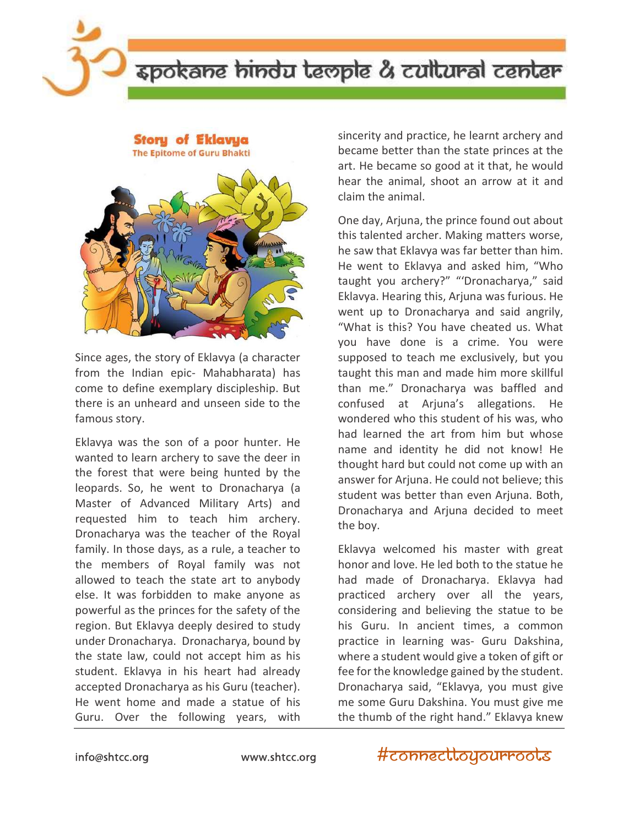

# spokane hindu leople & cullural center

**Story of Eklavya** 





Since ages, the story of Eklavya (a character from the Indian epic- Mahabharata) has come to define exemplary discipleship. But there is an unheard and unseen side to the famous story.

Eklavya was the son of a poor hunter. He wanted to learn archery to save the deer in the forest that were being hunted by the leopards. So, he went to Dronacharya (a Master of Advanced Military Arts) and requested him to teach him archery. Dronacharya was the teacher of the Royal family. In those days, as a rule, a teacher to the members of Royal family was not allowed to teach the state art to anybody else. It was forbidden to make anyone as powerful as the princes for the safety of the region. But Eklavya deeply desired to study under Dronacharya. Dronacharya, bound by the state law, could not accept him as his student. Eklavya in his heart had already accepted Dronacharya as his Guru (teacher). He went home and made a statue of his Guru. Over the following years, with

sincerity and practice, he learnt archery and became better than the state princes at the art. He became so good at it that, he would hear the animal, shoot an arrow at it and claim the animal.

One day, Arjuna, the prince found out about this talented archer. Making matters worse, he saw that Eklavya was far better than him. He went to Eklavya and asked him, "Who taught you archery?" "'Dronacharya," said Eklavya. Hearing this, Arjuna was furious. He went up to Dronacharya and said angrily, "What is this? You have cheated us. What you have done is a crime. You were supposed to teach me exclusively, but you taught this man and made him more skillful than me." Dronacharya was baffled and confused at Arjuna's allegations. He wondered who this student of his was, who had learned the art from him but whose name and identity he did not know! He thought hard but could not come up with an answer for Arjuna. He could not believe; this student was better than even Arjuna. Both, Dronacharya and Arjuna decided to meet the boy.

Eklavya welcomed his master with great honor and love. He led both to the statue he had made of Dronacharya. Eklavya had practiced archery over all the years, considering and believing the statue to be his Guru. In ancient times, a common practice in learning was- Guru Dakshina, where a student would give a token of gift or fee for the knowledge gained by the student. Dronacharya said, "Eklavya, you must give me some Guru Dakshina. You must give me the thumb of the right hand." Eklavya knew

#### info@shtcc.org www.shtcc.org

#connecttoyourroots